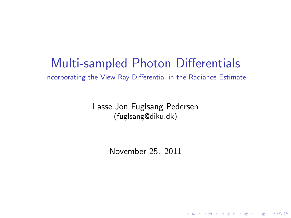# Multi-sampled Photon Differentials

Incorporating the View Ray Differential in the Radiance Estimate

Lasse Jon Fuglsang Pedersen (fuglsang@diku.dk)

November 25. 2011

**K ロ ▶ K @ ▶ K 할 X X 할 X 및 할 X X Q Q O**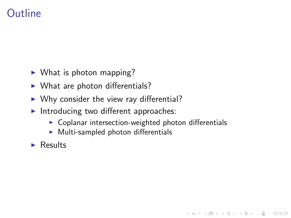### **Outline**

- $\triangleright$  What is photon mapping?
- $\triangleright$  What are photon differentials?
- $\triangleright$  Why consider the view ray differential?
- Introducing two different approaches:
	- $\triangleright$  Coplanar intersection-weighted photon differentials

**KORK STRATER STRAKER** 

- $\triangleright$  Multi-sampled photon differentials
- $\blacktriangleright$  Results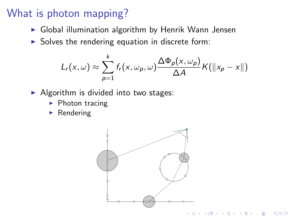## What is photon mapping?

- $\triangleright$  Global illumination algorithm by Henrik Wann Jensen
- $\triangleright$  Solves the rendering equation in discrete form:

$$
L_r(x,\omega) \approx \sum_{p=1}^k f_r(x,\omega_p,\omega) \frac{\Delta \Phi_p(x,\omega_p)}{\Delta A} K(||x_p-x||)
$$

- $\blacktriangleright$  Algorithm is divided into two stages:
	- $\blacktriangleright$  Photon tracing
	- $\blacktriangleright$  Rendering

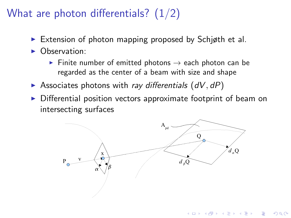# What are photon differentials?  $(1/2)$

- Extension of photon mapping proposed by Schigth et al.
- $\triangleright$  Observation:
	- Finite number of emitted photons  $\rightarrow$  each photon can be regarded as the center of a beam with size and shape
- $\triangleright$  Associates photons with ray differentials  $(dV, dP)$
- $\triangleright$  Differential position vectors approximate footprint of beam on intersecting surfaces



**KORK STRAIN A BAR SHOP**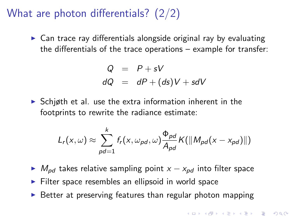### What are photon differentials? (2/2)

 $\triangleright$  Can trace ray differentials alongside original ray by evaluating the differentials of the trace operations – example for transfer:

$$
Q = P + sV
$$
  

$$
dQ = dP + (ds)V + sdV
$$

 $\triangleright$  Schigth et al. use the extra information inherent in the footprints to rewrite the radiance estimate:

$$
L_r(x,\omega) \approx \sum_{pd=1}^k f_r(x,\omega_{pd},\omega) \frac{\Phi_{pd}}{A_{pd}} K(||M_{pd}(x-x_{pd})||)
$$

- $\triangleright$  M<sub>nd</sub> takes relative sampling point  $x x_{pd}$  into filter space
- $\blacktriangleright$  Filter space resembles an ellipsoid in world space
- $\triangleright$  Better at preserving features than regular photon mapping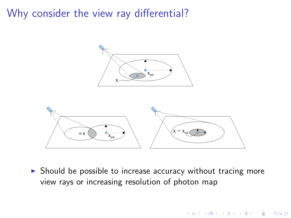### Why consider the view ray differential?



 $\triangleright$  Should be possible to increase accuracy without tracing more view rays or increasing resolution of photon map

K ロ ▶ K @ ▶ K 할 ▶ K 할 ▶ 이 할 → 9 Q @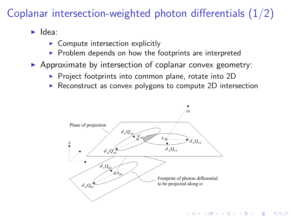# Coplanar intersection-weighted photon differentials (1/2)

 $\blacktriangleright$  Idea:

- $\triangleright$  Compute intersection explicitly
- $\triangleright$  Problem depends on how the footprints are interpreted
- $\triangleright$  Approximate by intersection of coplanar convex geometry:
	- $\triangleright$  Project footprints into common plane, rotate into 2D
	- $\triangleright$  Reconstruct as convex polygons to compute 2D intersection

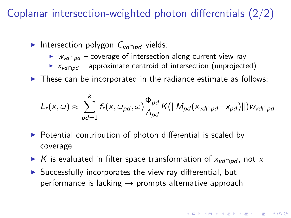# Coplanar intersection-weighted photon differentials (2/2)

- ► Intersection polygon C<sub>vd∩pd</sub> yields:
	- ►  $W_{vd \cap pd}$  coverage of intersection along current view ray
	- $\triangleright$  x<sub>vd∩pd</sub> approximate centroid of intersection (unprojected)
- $\triangleright$  These can be incorporated in the radiance estimate as follows:

$$
L_r(x,\omega) \approx \sum_{pd=1}^k f_r(x,\omega_{pd},\omega) \frac{\Phi_{pd}}{A_{pd}} K(||M_{pd}(x_{vd} \cap pd} - x_{pd})||) w_{vd} \cap pd
$$

- $\triangleright$  Potential contribution of photon differential is scaled by coverage
- ► K is evaluated in filter space transformation of  $x_{\text{vd}\cap \text{pd}}$ , not x
- $\triangleright$  Successfully incorporates the view ray differential, but performance is lacking  $\rightarrow$  prompts alternative approach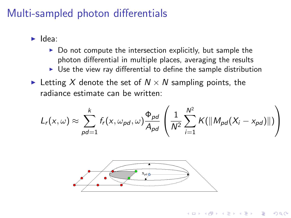### Multi-sampled photon differentials

- $\blacktriangleright$  Idea:
	- $\triangleright$  Do not compute the intersection explicitly, but sample the photon differential in multiple places, averaging the results
	- $\triangleright$  Use the view ray differential to define the sample distribution
- Execting X denote the set of  $N \times N$  sampling points, the radiance estimate can be written:

$$
L_r(x,\omega) \approx \sum_{pd=1}^k f_r(x,\omega_{pd},\omega) \frac{\Phi_{pd}}{A_{pd}} \left( \frac{1}{N^2} \sum_{i=1}^{N^2} K(||M_{pd}(X_i - x_{pd})||) \right)
$$

**KORKA SERKER ORA** 

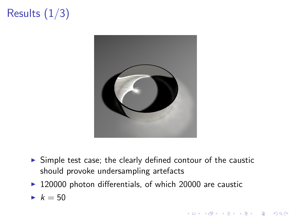# Results  $(1/3)$



 $\triangleright$  Simple test case; the clearly defined contour of the caustic should provoke undersampling artefacts

**KORKA SERKER ORA** 

 $\blacktriangleright$  120000 photon differentials, of which 20000 are caustic

$$
\blacktriangleright k=50
$$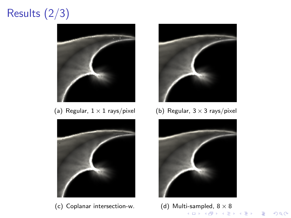# Results (2/3)



(a) Regular,  $1 \times 1$  rays/pixel (b) Regular,  $3 \times 3$  rays/pixel



(c) Coplanar intersection-w. (d) Multi-sampled,  $8 \times 8$ 





K ロ ▶ K @ ▶ K 할 ▶ K 할 ▶ ... 할 ... 900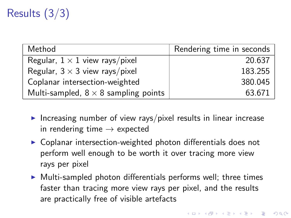# Results (3/3)

| Method                                      | Rendering time in seconds |
|---------------------------------------------|---------------------------|
| Regular, $1 \times 1$ view rays/pixel       | 20.637                    |
| Regular, $3 \times 3$ view rays/pixel       | 183.255                   |
| Coplanar intersection-weighted              | 380.045                   |
| Multi-sampled, $8 \times 8$ sampling points | 63.671                    |

- Increasing number of view rays/pixel results in linear increase in rendering time  $\rightarrow$  expected
- $\triangleright$  Coplanar intersection-weighted photon differentials does not perform well enough to be worth it over tracing more view rays per pixel
- $\triangleright$  Multi-sampled photon differentials performs well; three times faster than tracing more view rays per pixel, and the results are practically free of visible artefacts

**KORKAR KERKER E VOOR**